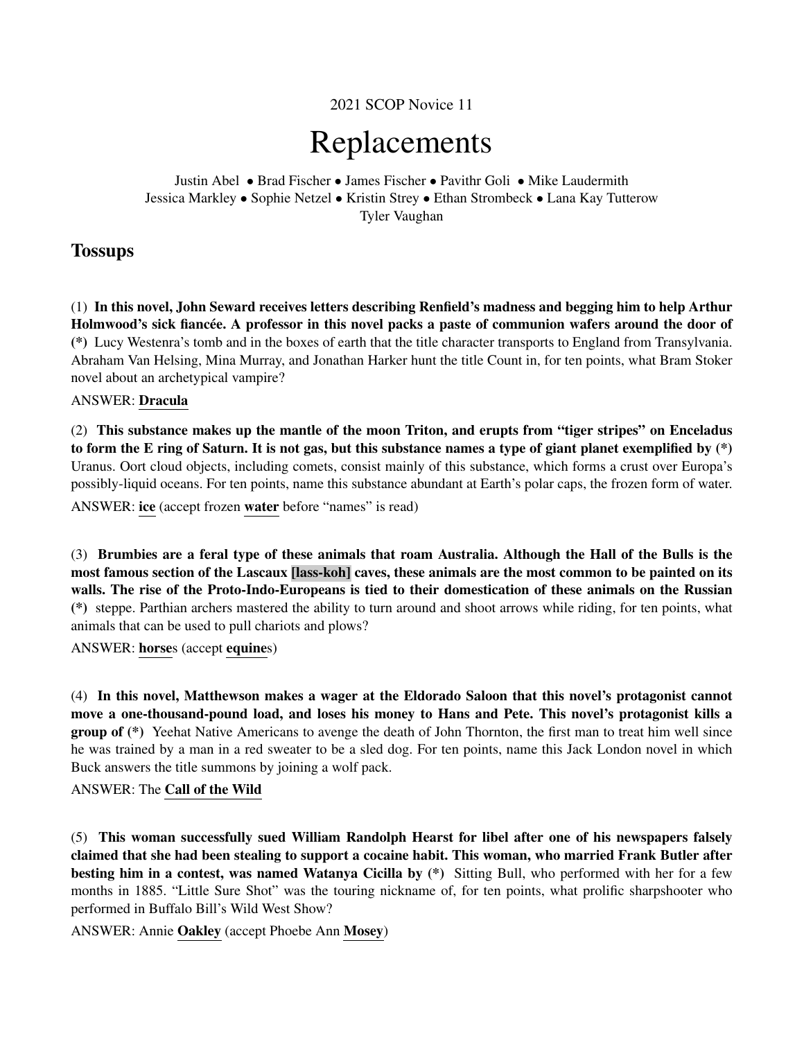2021 SCOP Novice 11

# Replacements

Justin Abel • Brad Fischer • James Fischer • Pavithr Goli • Mike Laudermith Jessica Markley • Sophie Netzel • Kristin Strey • Ethan Strombeck • Lana Kay Tutterow Tyler Vaughan

### **Tossups**

(1) In this novel, John Seward receives letters describing Renfield's madness and begging him to help Arthur Holmwood's sick fiancée. A professor in this novel packs a paste of communion wafers around the door of (\*) Lucy Westenra's tomb and in the boxes of earth that the title character transports to England from Transylvania. Abraham Van Helsing, Mina Murray, and Jonathan Harker hunt the title Count in, for ten points, what Bram Stoker novel about an archetypical vampire?

#### ANSWER: Dracula

(2) This substance makes up the mantle of the moon Triton, and erupts from "tiger stripes" on Enceladus to form the E ring of Saturn. It is not gas, but this substance names a type of giant planet exemplified by (\*) Uranus. Oort cloud objects, including comets, consist mainly of this substance, which forms a crust over Europa's possibly-liquid oceans. For ten points, name this substance abundant at Earth's polar caps, the frozen form of water. ANSWER: ice (accept frozen water before "names" is read)

(3) Brumbies are a feral type of these animals that roam Australia. Although the Hall of the Bulls is the most famous section of the Lascaux [lass-koh] caves, these animals are the most common to be painted on its walls. The rise of the Proto-Indo-Europeans is tied to their domestication of these animals on the Russian (\*) steppe. Parthian archers mastered the ability to turn around and shoot arrows while riding, for ten points, what animals that can be used to pull chariots and plows?

ANSWER: horses (accept equines)

(4) In this novel, Matthewson makes a wager at the Eldorado Saloon that this novel's protagonist cannot move a one-thousand-pound load, and loses his money to Hans and Pete. This novel's protagonist kills a group of (\*) Yeehat Native Americans to avenge the death of John Thornton, the first man to treat him well since he was trained by a man in a red sweater to be a sled dog. For ten points, name this Jack London novel in which Buck answers the title summons by joining a wolf pack.

#### ANSWER: The Call of the Wild

(5) This woman successfully sued William Randolph Hearst for libel after one of his newspapers falsely claimed that she had been stealing to support a cocaine habit. This woman, who married Frank Butler after besting him in a contest, was named Watanya Cicilla by (\*) Sitting Bull, who performed with her for a few months in 1885. "Little Sure Shot" was the touring nickname of, for ten points, what prolific sharpshooter who performed in Buffalo Bill's Wild West Show?

ANSWER: Annie Oakley (accept Phoebe Ann Mosey)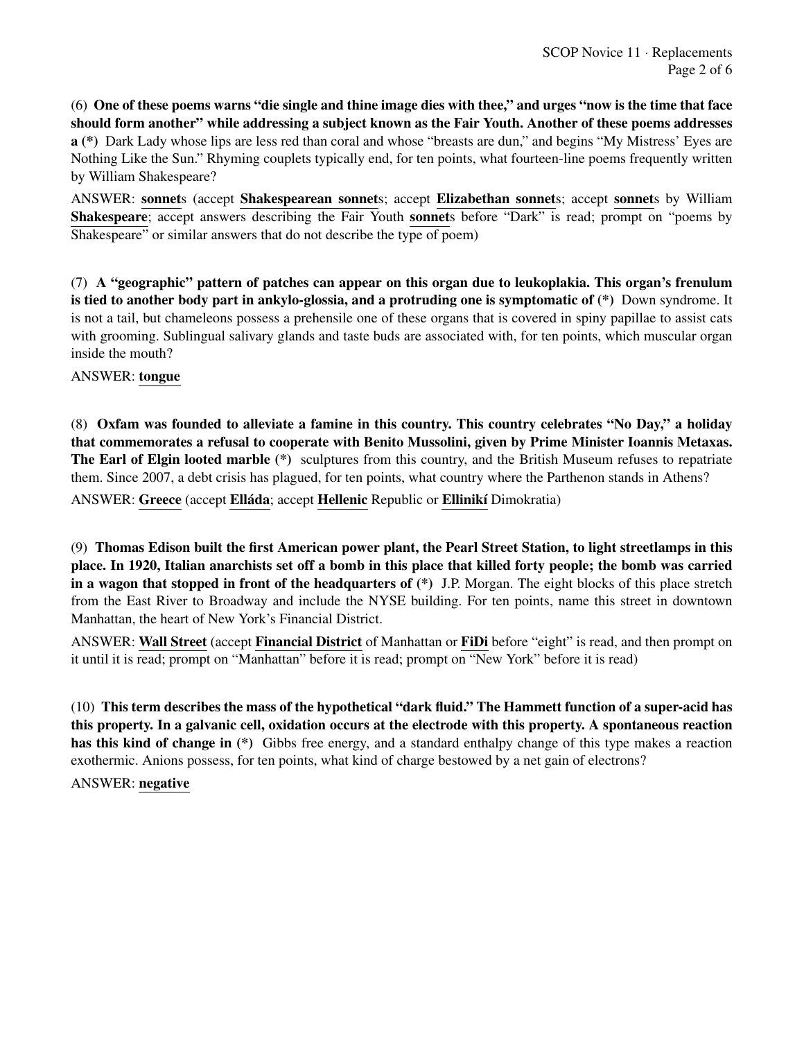(6) One of these poems warns "die single and thine image dies with thee," and urges "now is the time that face should form another" while addressing a subject known as the Fair Youth. Another of these poems addresses a (\*) Dark Lady whose lips are less red than coral and whose "breasts are dun," and begins "My Mistress' Eyes are Nothing Like the Sun." Rhyming couplets typically end, for ten points, what fourteen-line poems frequently written by William Shakespeare?

ANSWER: sonnets (accept Shakespearean sonnets; accept Elizabethan sonnets; accept sonnets by William Shakespeare; accept answers describing the Fair Youth sonnets before "Dark" is read; prompt on "poems by Shakespeare" or similar answers that do not describe the type of poem)

(7) A "geographic" pattern of patches can appear on this organ due to leukoplakia. This organ's frenulum is tied to another body part in ankylo-glossia, and a protruding one is symptomatic of (\*) Down syndrome. It is not a tail, but chameleons possess a prehensile one of these organs that is covered in spiny papillae to assist cats with grooming. Sublingual salivary glands and taste buds are associated with, for ten points, which muscular organ inside the mouth?

#### ANSWER: tongue

(8) Oxfam was founded to alleviate a famine in this country. This country celebrates "No Day," a holiday that commemorates a refusal to cooperate with Benito Mussolini, given by Prime Minister Ioannis Metaxas. The Earl of Elgin looted marble (\*) sculptures from this country, and the British Museum refuses to repatriate them. Since 2007, a debt crisis has plagued, for ten points, what country where the Parthenon stands in Athens? ANSWER: Greece (accept Elláda; accept Hellenic Republic or Ellinikí Dimokratia)

(9) Thomas Edison built the first American power plant, the Pearl Street Station, to light streetlamps in this place. In 1920, Italian anarchists set off a bomb in this place that killed forty people; the bomb was carried in a wagon that stopped in front of the headquarters of  $(*)$  J.P. Morgan. The eight blocks of this place stretch from the East River to Broadway and include the NYSE building. For ten points, name this street in downtown Manhattan, the heart of New York's Financial District.

ANSWER: Wall Street (accept Financial District of Manhattan or FiDi before "eight" is read, and then prompt on it until it is read; prompt on "Manhattan" before it is read; prompt on "New York" before it is read)

(10) This term describes the mass of the hypothetical "dark fluid." The Hammett function of a super-acid has this property. In a galvanic cell, oxidation occurs at the electrode with this property. A spontaneous reaction has this kind of change in (\*) Gibbs free energy, and a standard enthalpy change of this type makes a reaction exothermic. Anions possess, for ten points, what kind of charge bestowed by a net gain of electrons?

#### ANSWER: negative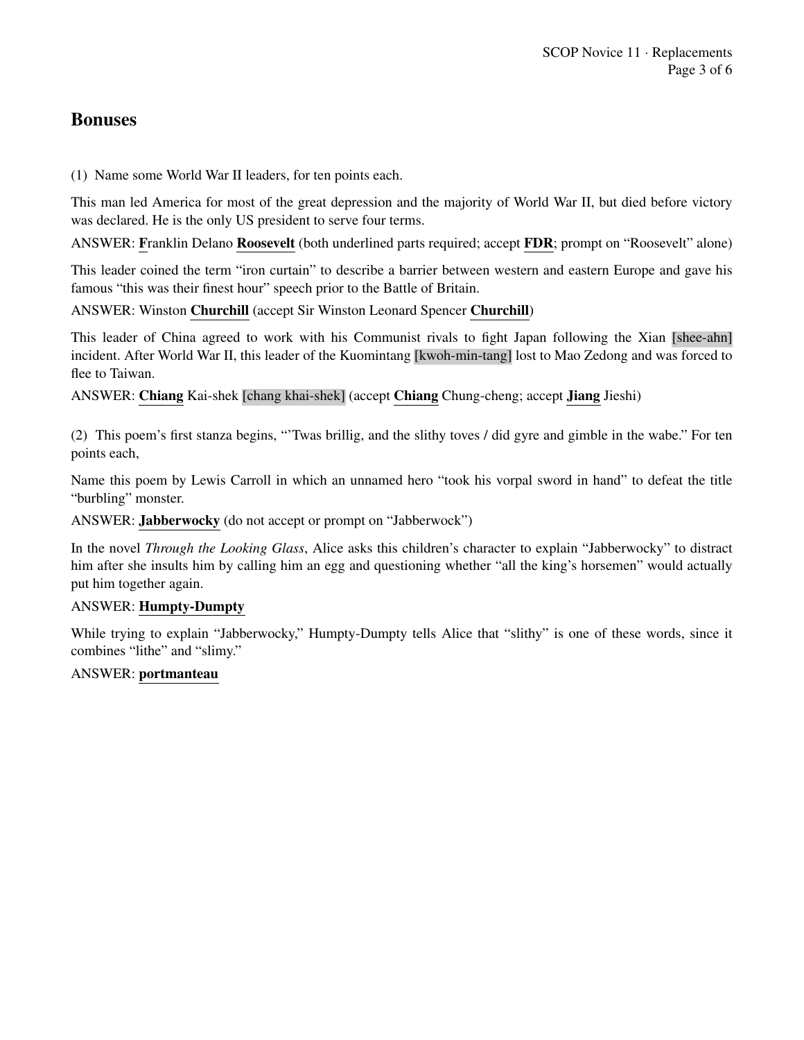## Bonuses

(1) Name some World War II leaders, for ten points each.

This man led America for most of the great depression and the majority of World War II, but died before victory was declared. He is the only US president to serve four terms.

ANSWER: Franklin Delano Roosevelt (both underlined parts required; accept FDR; prompt on "Roosevelt" alone)

This leader coined the term "iron curtain" to describe a barrier between western and eastern Europe and gave his famous "this was their finest hour" speech prior to the Battle of Britain.

ANSWER: Winston Churchill (accept Sir Winston Leonard Spencer Churchill)

This leader of China agreed to work with his Communist rivals to fight Japan following the Xian [shee-ahn] incident. After World War II, this leader of the Kuomintang [kwoh-min-tang] lost to Mao Zedong and was forced to flee to Taiwan.

ANSWER: Chiang Kai-shek [chang khai-shek] (accept Chiang Chung-cheng; accept Jiang Jieshi)

(2) This poem's first stanza begins, "'Twas brillig, and the slithy toves / did gyre and gimble in the wabe." For ten points each,

Name this poem by Lewis Carroll in which an unnamed hero "took his vorpal sword in hand" to defeat the title "burbling" monster.

ANSWER: Jabberwocky (do not accept or prompt on "Jabberwock")

In the novel *Through the Looking Glass*, Alice asks this children's character to explain "Jabberwocky" to distract him after she insults him by calling him an egg and questioning whether "all the king's horsemen" would actually put him together again.

#### ANSWER: Humpty-Dumpty

While trying to explain "Jabberwocky," Humpty-Dumpty tells Alice that "slithy" is one of these words, since it combines "lithe" and "slimy."

#### ANSWER: portmanteau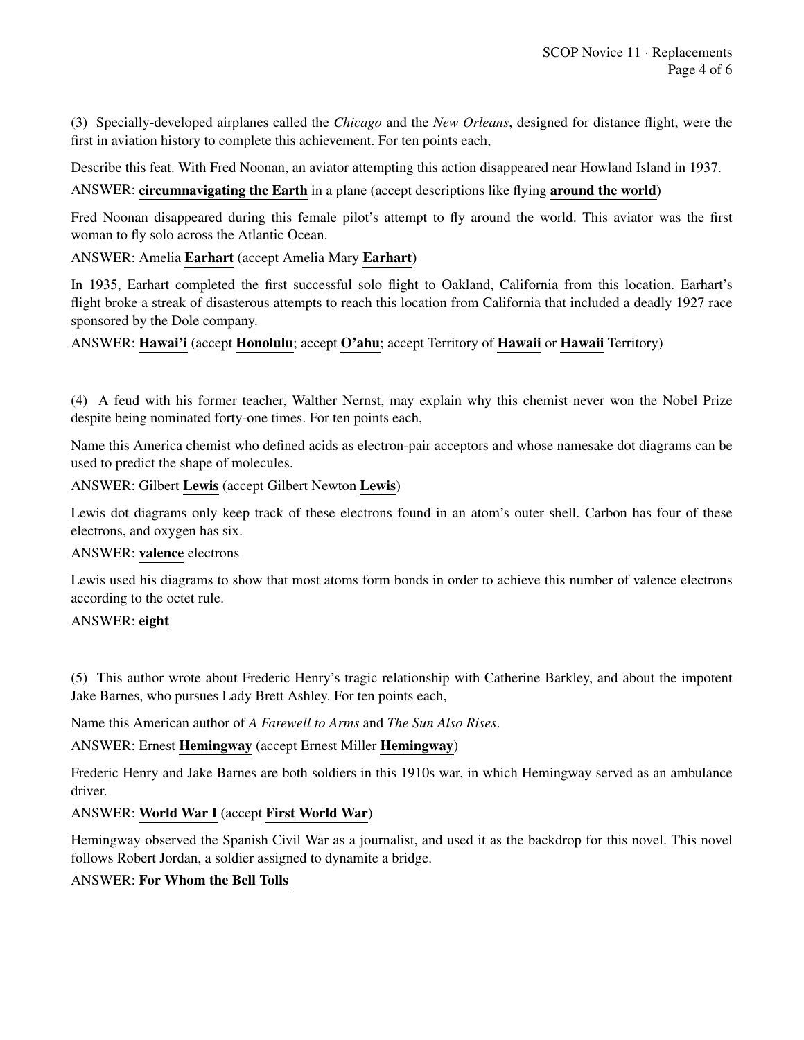(3) Specially-developed airplanes called the *Chicago* and the *New Orleans*, designed for distance flight, were the first in aviation history to complete this achievement. For ten points each,

Describe this feat. With Fred Noonan, an aviator attempting this action disappeared near Howland Island in 1937.

ANSWER: circumnavigating the Earth in a plane (accept descriptions like flying around the world)

Fred Noonan disappeared during this female pilot's attempt to fly around the world. This aviator was the first woman to fly solo across the Atlantic Ocean.

ANSWER: Amelia Earhart (accept Amelia Mary Earhart)

In 1935, Earhart completed the first successful solo flight to Oakland, California from this location. Earhart's flight broke a streak of disasterous attempts to reach this location from California that included a deadly 1927 race sponsored by the Dole company.

ANSWER: Hawai'i (accept Honolulu; accept O'ahu; accept Territory of Hawaii or Hawaii Territory)

(4) A feud with his former teacher, Walther Nernst, may explain why this chemist never won the Nobel Prize despite being nominated forty-one times. For ten points each,

Name this America chemist who defined acids as electron-pair acceptors and whose namesake dot diagrams can be used to predict the shape of molecules.

ANSWER: Gilbert Lewis (accept Gilbert Newton Lewis)

Lewis dot diagrams only keep track of these electrons found in an atom's outer shell. Carbon has four of these electrons, and oxygen has six.

#### ANSWER: valence electrons

Lewis used his diagrams to show that most atoms form bonds in order to achieve this number of valence electrons according to the octet rule.

#### ANSWER: eight

(5) This author wrote about Frederic Henry's tragic relationship with Catherine Barkley, and about the impotent Jake Barnes, who pursues Lady Brett Ashley. For ten points each,

Name this American author of *A Farewell to Arms* and *The Sun Also Rises*.

ANSWER: Ernest Hemingway (accept Ernest Miller Hemingway)

Frederic Henry and Jake Barnes are both soldiers in this 1910s war, in which Hemingway served as an ambulance driver.

ANSWER: World War I (accept First World War)

Hemingway observed the Spanish Civil War as a journalist, and used it as the backdrop for this novel. This novel follows Robert Jordan, a soldier assigned to dynamite a bridge.

#### ANSWER: For Whom the Bell Tolls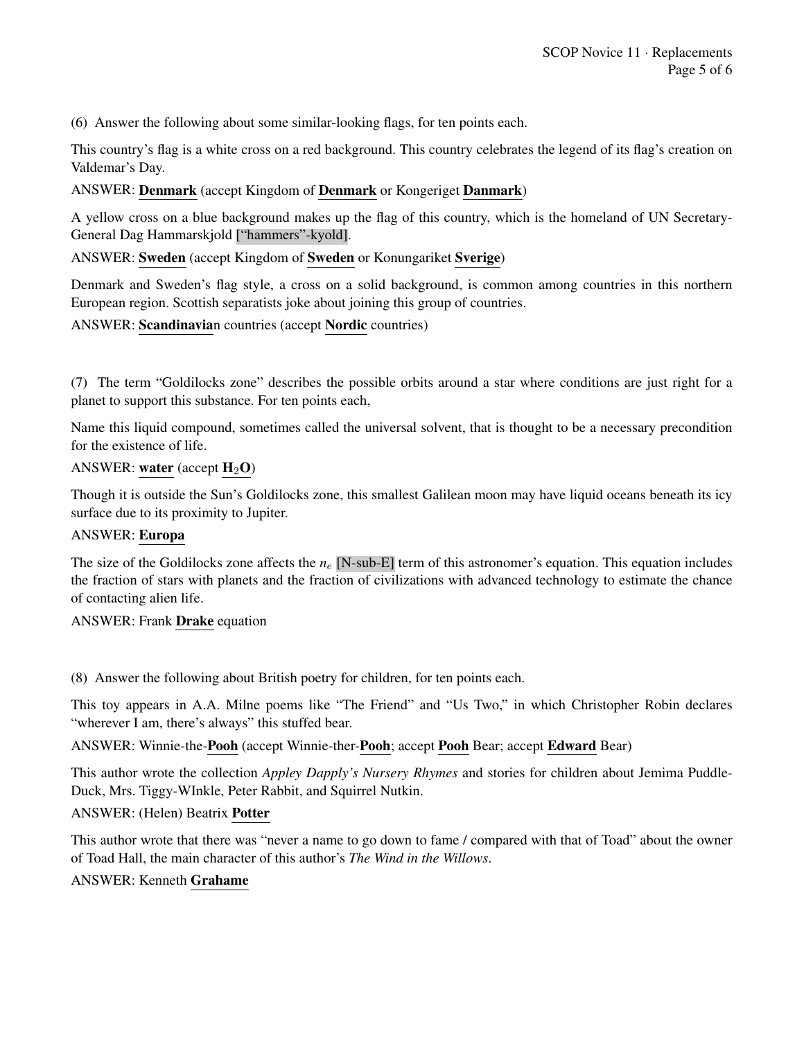(6) Answer the following about some similar-looking flags, for ten points each.

This country's flag is a white cross on a red background. This country celebrates the legend of its flag's creation on Valdemar's Day.

#### ANSWER: Denmark (accept Kingdom of Denmark or Kongeriget Danmark)

A yellow cross on a blue background makes up the flag of this country, which is the homeland of UN Secretary-General Dag Hammarskjold ["hammers"-kyold].

ANSWER: Sweden (accept Kingdom of Sweden or Konungariket Sverige)

Denmark and Sweden's flag style, a cross on a solid background, is common among countries in this northern European region. Scottish separatists joke about joining this group of countries.

ANSWER: Scandinavian countries (accept Nordic countries)

(7) The term "Goldilocks zone" describes the possible orbits around a star where conditions are just right for a planet to support this substance. For ten points each,

Name this liquid compound, sometimes called the universal solvent, that is thought to be a necessary precondition for the existence of life.

#### ANSWER: water (accept  $H_2O$ )

Though it is outside the Sun's Goldilocks zone, this smallest Galilean moon may have liquid oceans beneath its icy surface due to its proximity to Jupiter.

#### ANSWER: Europa

The size of the Goldilocks zone affects the  $n_e$  [N-sub-E] term of this astronomer's equation. This equation includes the fraction of stars with planets and the fraction of civilizations with advanced technology to estimate the chance of contacting alien life.

#### ANSWER: Frank Drake equation

(8) Answer the following about British poetry for children, for ten points each.

This toy appears in A.A. Milne poems like "The Friend" and "Us Two," in which Christopher Robin declares "wherever I am, there's always" this stuffed bear.

ANSWER: Winnie-the-Pooh (accept Winnie-ther-Pooh; accept Pooh Bear; accept Edward Bear)

This author wrote the collection *Appley Dapply's Nursery Rhymes* and stories for children about Jemima Puddle-Duck, Mrs. Tiggy-WInkle, Peter Rabbit, and Squirrel Nutkin.

ANSWER: (Helen) Beatrix Potter

This author wrote that there was "never a name to go down to fame / compared with that of Toad" about the owner of Toad Hall, the main character of this author's *The Wind in the Willows*.

#### ANSWER: Kenneth Grahame